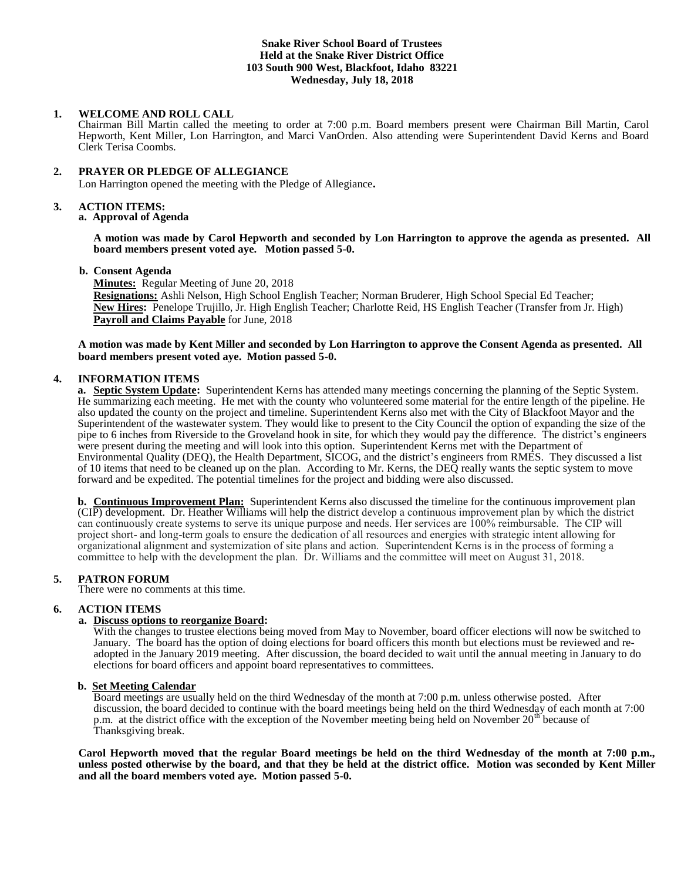## **Snake River School Board of Trustees Held at the Snake River District Office 103 South 900 West, Blackfoot, Idaho 83221 Wednesday, July 18, 2018**

## **1. WELCOME AND ROLL CALL**

Chairman Bill Martin called the meeting to order at 7:00 p.m. Board members present were Chairman Bill Martin, Carol Hepworth, Kent Miller, Lon Harrington, and Marci VanOrden. Also attending were Superintendent David Kerns and Board Clerk Terisa Coombs.

# **2. PRAYER OR PLEDGE OF ALLEGIANCE**

Lon Harrington opened the meeting with the Pledge of Allegiance**.** 

## **3. ACTION ITEMS:**

**a. Approval of Agenda**

**A motion was made by Carol Hepworth and seconded by Lon Harrington to approve the agenda as presented. All board members present voted aye. Motion passed 5-0.**

#### **b. Consent Agenda**

**Minutes:** Regular Meeting of June 20, 2018

**Resignations:** Ashli Nelson, High School English Teacher; Norman Bruderer, High School Special Ed Teacher; **New Hires:** Penelope Trujillo, Jr. High English Teacher; Charlotte Reid, HS English Teacher (Transfer from Jr. High) **Payroll and Claims Payable** for June, 2018

### **A motion was made by Kent Miller and seconded by Lon Harrington to approve the Consent Agenda as presented. All board members present voted aye. Motion passed 5-0.**

### **4. INFORMATION ITEMS**

**a. Septic System Update:** Superintendent Kerns has attended many meetings concerning the planning of the Septic System. He summarizing each meeting. He met with the county who volunteered some material for the entire length of the pipeline. He also updated the county on the project and timeline. Superintendent Kerns also met with the City of Blackfoot Mayor and the Superintendent of the wastewater system. They would like to present to the City Council the option of expanding the size of the pipe to 6 inches from Riverside to the Groveland hook in site, for which they would pay the difference. The district's engineers were present during the meeting and will look into this option. Superintendent Kerns met with the Department of Environmental Quality (DEQ), the Health Department, SICOG, and the district's engineers from RMES. They discussed a list of 10 items that need to be cleaned up on the plan. According to Mr. Kerns, the DEQ really wants the septic system to move forward and be expedited. The potential timelines for the project and bidding were also discussed.

**b. Continuous Improvement Plan:** Superintendent Kerns also discussed the timeline for the continuous improvement plan (CIP) development. Dr. Heather Williams will help the district develop a continuous improvement plan by which the district can continuously create systems to serve its unique purpose and needs. Her services are 100% reimbursable. The CIP will project short- and long-term goals to ensure the dedication of all resources and energies with strategic intent allowing for organizational alignment and systemization of site plans and action. Superintendent Kerns is in the process of forming a committee to help with the development the plan. Dr. Williams and the committee will meet on August 31, 2018.

# **5. PATRON FORUM**

There were no comments at this time.

# **6. ACTION ITEMS**

## **a. Discuss options to reorganize Board:**

With the changes to trustee elections being moved from May to November, board officer elections will now be switched to January. The board has the option of doing elections for board officers this month but elections must be reviewed and readopted in the January 2019 meeting. After discussion, the board decided to wait until the annual meeting in January to do elections for board officers and appoint board representatives to committees.

### **b. Set Meeting Calendar**

Board meetings are usually held on the third Wednesday of the month at 7:00 p.m. unless otherwise posted. After discussion, the board decided to continue with the board meetings being held on the third Wednesday of each month at 7:00 p.m. at the district office with the exception of the November meeting being held on November 20<sup>th</sup> because of Thanksgiving break.

**Carol Hepworth moved that the regular Board meetings be held on the third Wednesday of the month at 7:00 p.m., unless posted otherwise by the board, and that they be held at the district office. Motion was seconded by Kent Miller and all the board members voted aye. Motion passed 5-0.**